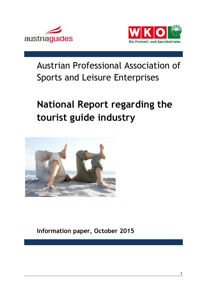



## Austrian Professional Association of Sports and Leisure Enterprises

# **National Report regarding the tourist guide industry**



**Information paper, October 2015**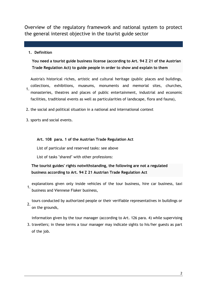Overview of the regulatory framework and national system to protect the general interest objective in the tourist guide sector

#### **1. Definition**

**You need a tourist guide business license (according to Art. 94 Z 21 of the Austrian Trade Regulation Act) to guide people in order to show and explain to them**

Austria's historical riches, artistic and cultural heritage (public places and buildings, collections, exhibitions, museums, monuments and memorial sites, churches,

- 1. monasteries, theatres and places of public entertainment, industrial and economic facilities, traditional events as well as particularities of landscape, flora and fauna),
- 2. the social and political situation in a national and international context
- 3. sports and social events.

#### **Art. 108 para. 1 of the Austrian Trade Regulation Act**

List of particular and reserved tasks: see above

List of tasks "shared" with other professions:

**The tourist guides' rights notwithstanding, the following are not a regulated business according to Art. 94 Z 21 Austrian Trade Regulation Act**

- 1. explanations given only inside vehicles of the tour business, hire car business, taxi business and Viennese Fiaker business,
- 2. tours conducted by authorized people or their verifiable representatives in buildings or on the grounds,

information given by the tour manager (according to Art. 126 para. 4) while supervising

3. travellers; in these terms a tour manager may indicate sights to his/her guests as part of the job.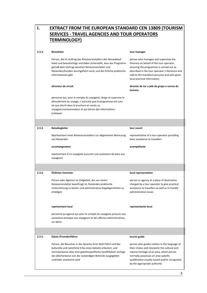| Ι.     | <b>EXTRACT FROM THE EUROPEAN STANDARD CEN 13809 (TOURISM</b>                                                                                                                                                                                                                            |                                                                                                                                                                                                                                                                     |  |  |  |  |  |  |  |  |  |
|--------|-----------------------------------------------------------------------------------------------------------------------------------------------------------------------------------------------------------------------------------------------------------------------------------------|---------------------------------------------------------------------------------------------------------------------------------------------------------------------------------------------------------------------------------------------------------------------|--|--|--|--|--|--|--|--|--|
|        | <b>SERVICES - TRAVEL AGENCIES AND TOUR OPERATORS</b>                                                                                                                                                                                                                                    |                                                                                                                                                                                                                                                                     |  |  |  |  |  |  |  |  |  |
|        | <b>TERMINOLOGY)</b>                                                                                                                                                                                                                                                                     |                                                                                                                                                                                                                                                                     |  |  |  |  |  |  |  |  |  |
|        |                                                                                                                                                                                                                                                                                         |                                                                                                                                                                                                                                                                     |  |  |  |  |  |  |  |  |  |
| 2.3.2. | <b>Reiseleiter</b>                                                                                                                                                                                                                                                                      | tour manager                                                                                                                                                                                                                                                        |  |  |  |  |  |  |  |  |  |
|        | Person, die im Auftrag des Reiseveranstalters den Reiseablauf<br>leitet und beaufsichtigt und dabei sicherstellt, dass das Programm<br>gemäß dem Vertrag zwischen Reiseveranstalter und<br>Reisenden/Kunden durchgeführt wird, und die örtliche praktische<br>Informationen gibt        | person who manages and supervises the<br>itinerary on behalf of the tour operator,<br>ensuring the programme is carried out as<br>described in the tour operator's literature and<br>sold to the traveller/consumer and who gives<br>local practical information    |  |  |  |  |  |  |  |  |  |
|        | directeur de circuit                                                                                                                                                                                                                                                                    | director de tur o jefe de grupo o correo de<br>turismo                                                                                                                                                                                                              |  |  |  |  |  |  |  |  |  |
|        | personne qui, pour le compte du voyagiste, dirige et supervise le<br>déroulement du voyage, s'assurant que le programme est suivi<br>tel que décrit dans la brochure et vendu au<br>voyageur/consommateur et qui donne des informations<br>pratiques                                    |                                                                                                                                                                                                                                                                     |  |  |  |  |  |  |  |  |  |
|        |                                                                                                                                                                                                                                                                                         |                                                                                                                                                                                                                                                                     |  |  |  |  |  |  |  |  |  |
| 2.3.3. | Reisebegleiter                                                                                                                                                                                                                                                                          | tour escort                                                                                                                                                                                                                                                         |  |  |  |  |  |  |  |  |  |
|        | Repräsentant eines Reiseveranstalters zur allgemeinen Betreuung<br>von Reisenden                                                                                                                                                                                                        | representative of a tour operator providing<br>basic assistance to travellers                                                                                                                                                                                       |  |  |  |  |  |  |  |  |  |
|        | accompagnateur                                                                                                                                                                                                                                                                          | acompañante                                                                                                                                                                                                                                                         |  |  |  |  |  |  |  |  |  |
|        | représentant d'un voyagiste assurant une assistance de base aux<br>voyageurs                                                                                                                                                                                                            |                                                                                                                                                                                                                                                                     |  |  |  |  |  |  |  |  |  |
|        |                                                                                                                                                                                                                                                                                         |                                                                                                                                                                                                                                                                     |  |  |  |  |  |  |  |  |  |
| 2.3.4. | Örtlicher Vertreter                                                                                                                                                                                                                                                                     | local representative                                                                                                                                                                                                                                                |  |  |  |  |  |  |  |  |  |
|        | Person oder Agentur im Zielgebiet, die von einem<br>Reiseveranstalter beauftragt ist, Reisenden praktische<br>Unterstützung zu leisten und administrative Angelegenheiten zu<br>erledigen                                                                                               | person or agency at a place of destination<br>charged by a tour operator to give practical<br>assistance to travellers as well as to handle<br>administrative issues                                                                                                |  |  |  |  |  |  |  |  |  |
|        | représentant local                                                                                                                                                                                                                                                                      | representante local                                                                                                                                                                                                                                                 |  |  |  |  |  |  |  |  |  |
|        | personne ou agence qui pour le compte du voyagiste procure une<br>assistance pratique aux voyageurs et des affaires administratives,<br>sur place                                                                                                                                       |                                                                                                                                                                                                                                                                     |  |  |  |  |  |  |  |  |  |
| 2.3.5. | Gäste-/Fremdenführer                                                                                                                                                                                                                                                                    | tourist guide                                                                                                                                                                                                                                                       |  |  |  |  |  |  |  |  |  |
|        | Person, die Besucher in der Sprache ihrer Wahl führt und das<br>kulturelle und natürliche Erbe eines Gebiets erläutert, und<br>normalerweise über eine gebietsspezifische Qualifikation verfügt,<br>die üblicherweise von der zuständigen Behörde ausgegeben<br>und/oder anerkannt wird | person who guides visitors in the language of<br>their choice and interprets the cultural and<br>natural heritage of an area, which person<br>normally possesses an area-specific<br>qualification usually issued and/or recognized<br>by the appropriate authority |  |  |  |  |  |  |  |  |  |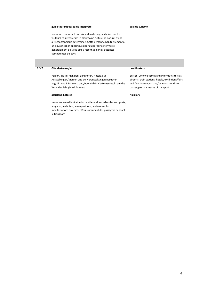|        | guide touristique; guide interpréte                                                                                                                                                                                                                                                                                                                 | guia de turismo                                                                                                                                                                        |  |  |  |  |  |
|--------|-----------------------------------------------------------------------------------------------------------------------------------------------------------------------------------------------------------------------------------------------------------------------------------------------------------------------------------------------------|----------------------------------------------------------------------------------------------------------------------------------------------------------------------------------------|--|--|--|--|--|
|        | personne conduisant une visite dans la langue choisie par les<br>visiteurs et interprétant le patrimoine culturel et naturel d'une<br>aire géographique determinée. Cette personne habituellement a<br>une qualification spécifique pour guider sur ce territoire,<br>généralement délivrée et/ou reconnue par les autorités<br>compétentes du pays |                                                                                                                                                                                        |  |  |  |  |  |
|        |                                                                                                                                                                                                                                                                                                                                                     |                                                                                                                                                                                        |  |  |  |  |  |
| 2.3.7. | Gästebetreuer/in                                                                                                                                                                                                                                                                                                                                    | host/hostess                                                                                                                                                                           |  |  |  |  |  |
|        | Person, die in Flughäfen, Bahnhöfen, Hotels, auf<br>Ausstellungen/Messen und bei Veranstaltungen Besucher<br>begrüßt und informiert, und/oder sich in Verkehrsmitteln um das<br>Wohl der Fahrgäste kümmert                                                                                                                                          | person, who welcomes and informs visitors at<br>airports, train stations, hotels, exhibitions/fairs<br>and function/events and/or who attends to<br>passengers in a means of transport |  |  |  |  |  |
|        | assistant; hôtesse                                                                                                                                                                                                                                                                                                                                  | <b>Auxiliary</b>                                                                                                                                                                       |  |  |  |  |  |
|        | personne accueillant et informant les visiteurs dans les aéroports,<br>les gares, les hotels, les expositions, les foires et les<br>manifestations diverses, et/ou s'occupant des passagers pendant<br>le transport;                                                                                                                                |                                                                                                                                                                                        |  |  |  |  |  |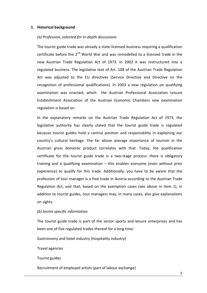#### **1. Historical background**

#### *(a) Profession, selected for in-depth discussions*

The tourist guide trade was already a state-licensed business requiring a qualification certificate before the  $2^{nd}$  World War and was remodelled to a licensed trade in the new Austrian Trade Regulation Act of 1973. In 2002 it was restructured into a regulated business. The legislative text of Art. 108 of the Austrian Trade Regulation Act was adjusted to the EU directives (Service Directive and Directive on the recognition of professional qualifications). In 2003 a new regulation on qualifying examination was enacted; which the Austrian Professional Association Leisure Establishment Association of the Austrian Economic Chambers new examination regulation is based on.

In the explanatory remarks on the Austrian Trade Regulation Act of 1973, the legislative authority has clearly stated that the tourist guide trade is regulated because tourist guides hold a central position and responsibility in explaining our country's cultural heritage. The far above average importance of tourism in the Austrian gross domestic product correlates with that. Today, the qualification certificate for the tourist guide trade is a two-stage process: there is obligatory training and a qualifying examination – this enables everyone (even without prior experience) to qualify for this trade. Additionally, you have to be aware that the profession of tour manager is a free trade in Austria according to the Austrian Trade Regulation Act, and that, based on the exemption cases (see above in item 1), in addition to tourist guides, tour managers may, in many cases, also give explanations on sights.

#### *(b) Sector specific information*

The tourist guide trade is part of the sector sports and leisure enterprises and has been one of five regulated trades thereof for a long time:

Gastronomy and hotel industry (hospitality industry)

Travel agencies

Tourist guides

Recruitment of employed artists (part of labour exchange)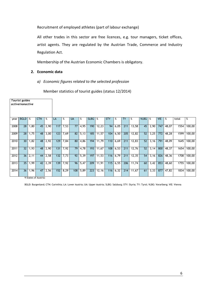Recruitment of employed athletes (part of labour exchange)

All other trades in this sector are free licences, e.g. tour managers, ticket offices, artist agents. They are regulated by the Austrian Trade, Commerce and Industry Regulation Act.

Membership of the Austrian Economic Chambers is obligatory.

#### **2. Economic data**

#### *a) Economic figures related to the selected profession*

Member statistics of tourist guides (status 12/2014)

|      | Tourist guides<br>active/nonactive |      |                 |      |     |      |           |      |             |       |            |      |           |       |             |            |            |       |       |        |
|------|------------------------------------|------|-----------------|------|-----|------|-----------|------|-------------|-------|------------|------|-----------|-------|-------------|------------|------------|-------|-------|--------|
| year | <b>BGLD</b>                        | %    | <b>CTN</b>      | %    | LA  | %    | <b>UA</b> | %    | <b>SLBG</b> | %     | <b>STY</b> | %    | <b>TY</b> | %     | <b>VLBG</b> | $\sqrt{8}$ | <b>VIE</b> | %     | total | %      |
| 2008 | 28                                 | 1,80 | 45              | 2,90 | 117 | 7,53 | 77 I      | 4,95 | 190         | 12,23 | 94         | 6,05 | 211       | 13,58 | 45          | 2,90       | 747        | 48,07 | 1554  | 100,00 |
| 2009 | 28                                 | 1,75 | 48              | 3,00 | 123 | 7,69 | 82        | 5,13 | 185         | 11,57 | 104        | 6,50 | 205       | 12,82 | 52          | 3,25       | 772        | 48,28 | 1599  | 100,00 |
| 2010 | 30                                 | 1,82 | 48              | 2,92 | 129 | 7,84 | 80        | 4,86 | 194         | 11,79 | 110        | 6,69 | 211       | 12,83 | 52          | 3,16       | 791        | 48,09 | 1645  | 100,00 |
| 2011 | 32                                 | 1,93 | 48              | 2,90 | 131 | 7,92 | 79        | 4,78 | 193         | 11,67 | 108        | 6,53 | 211       | 12,76 | 52          | 3,14       | 800        | 48,37 | 1654  | 100,00 |
| 2012 | 36                                 | 2,11 | 44              | 2,58 | 132 | 7,73 | 92        | 5,39 | 197         | 11,53 | 116        | 6,79 | 211       | 12,35 | 54          | 3,16       | 826        | 48,36 | 1708  | 100,00 |
| 2013 | 35                                 | 1,99 | 42 <sup>1</sup> | 2,39 | 139 | 7,92 | 96        | 5,47 | 209         | 11,91 | 115        | 6,55 | 206       | 11,74 | 60          | 3,42       | 853        | 48,60 | 1755  | 100,00 |
| 2014 | 36                                 | 1,96 | 47              | 2,56 | 152 | 8,29 | 108       | 5,89 | 223         | 12,16 | 116        | 6,32 | 214       | 11,67 | 61          | 3,33       | 877        | 47,82 | 1834  | 100,00 |

9 States of Austria:

BGLD: Burgenland; CTN: Carinthia; LA: Lower Austria; UA: Upper Austria; SLBG: Salzburg; STY: Styria; TY: Tyrol; VLBG: Vorarlberg; VIE: Vienna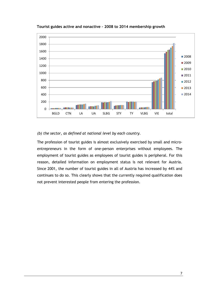

**Tourist guides active and nonactive – 2008 to 2014 membership growth**

#### *(b) the sector, as defined at national level by each country.*

The profession of tourist guides is almost exclusively exercised by small and microentrepreneurs in the form of one-person enterprises without employees. The employment of tourist guides as employees of tourist guides is peripheral. For this reason, detailed information on employment status is not relevant for Austria. Since 2001, the number of tourist guides in all of Austria has increased by 44% and continues to do so. This clearly shows that the currently required qualification does not prevent interested people from entering the profession.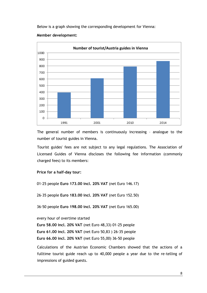Below is a graph showing the corresponding development for Vienna:



#### **Member development:**

The general number of members is continuously increasing – analogue to the number of tourist guides in Vienna.

Tourist guides' fees are not subject to any legal regulations. The Association of Licensed Guides of Vienna discloses the following fee information (commonly charged fees) to its members:

#### **Price for a half-day tour:**

01-25 people **Euro 173.00 incl. 20% VAT** (net Euro 146.17)

26-35 people **Euro 183.00 incl. 20% VAT** (net Euro 152.50)

36-50 people **Euro 198.00 incl. 20% VAT** (net Euro 165.00)

every hour of overtime started

**Euro 58.00 incl. 20% VAT** (net Euro 48,33) 01-25 people

**Euro 61.00 incl. 20% VAT** (net Euro 50,83 ) 26-35 people

**Euro 66.00 incl. 20% VAT** (net Euro 55,00) 36-50 people

Calculations of the Austrian Economic Chambers showed that the actions of a fulltime tourist guide reach up to 40,000 people a year due to the re-telling of impressions of guided guests.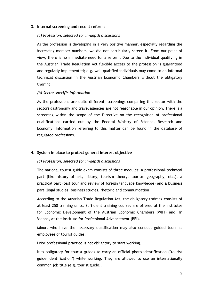#### **3. Internal screening and recent reforms**

#### *(a) Profession, selected for in-depth discussions*

As the profession is developing in a very positive manner, especially regarding the increasing member numbers, we did not particularly screen it. From our point of view, there is no immediate need for a reform. Due to the individual qualifying in the Austrian Trade Regulation Act flexible access to the profession is guaranteed and regularly implemented; e.g. well qualified individuals may come to an informal technical discussion in the Austrian Economic Chambers without the obligatory training.

#### *(b) Sector specific information*

As the professions are quite different, screenings comparing this sector with the sectors gastronomy and travel agencies are not reasonable in our opinion. There is a screening within the scope of the Directive on the recognition of professional qualifications carried out by the Federal Ministry of Science, Research and Economy. Information referring to this matter can be found in the database of regulated professions.

#### **4. System in place to protect general interest objective**

#### *(a) Profession, selected for in-depth discussions*

The national tourist guide exam consists of three modules: a professional-technical part (like history of art, history, tourism theory, tourism geography, etc.), a practical part (test tour and review of foreign language knowledge) and a business part (legal studies, business studies, rhetoric and communication).

According to the Austrian Trade Regulation Act, the obligatory training consists of at least 250 training units. Sufficient training courses are offered at the Institutes for Economic Development of the Austrian Economic Chambers (WIFI) and, in Vienna, at the Institute for Professional Advancement (BFI).

Minors who have the necessary qualification may also conduct guided tours as employees of tourist guides.

Prior professional practice is not obligatory to start working.

It is obligatory for tourist guides to carry an official photo identification ("tourist guide identification") while working. They are allowed to use an internationally common job title (e.g. tourist guide).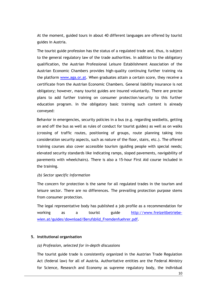At the moment, guided tours in about 40 different languages are offered by tourist guides in Austria.

The tourist guide profession has the status of a regulated trade and, thus, is subject to the general regulatory law of the trade authorities. In addition to the obligatory qualification, the Austrian Professional Leisure Establishment Association of the Austrian Economic Chambers provides high-quality continuing further training via the platform [www.aga.or.at.](http://www.aga.or.at/) When graduates attain a certain score, they receive a certificate from the Austrian Economic Chambers. General liability insurance is not obligatory; however, many tourist guides are insured voluntarily. There are precise plans to add further training on consumer protection/security to this further education program. In the obligatory basic training such content is already conveyed:

Behavior in emergencies, security policies in a bus (e.g. regarding seatbelts, getting on and off the bus as well as rules of conduct for tourist guides) as well as on walks (crossing of traffic routes, positioning of groups, route planning taking into consideration security aspects, such as nature of the floor, stairs, etc.). The offered training courses also cover accessible tourism (guiding people with special needs; elevated security standards like indicating ramps, sloped pavements, navigability of pavements with wheelchairs). There is also a 15-hour First Aid course included in the training.

#### *(b) Sector specific information*

The concern for protection is the same for all regulated trades in the tourism and leisure sector. There are no differences. The prevailing protection purpose stems from consumer protection.

The legal representative body has published a job profile as a recommendation for working as a tourist guide [http://www.freizeitbetriebe](http://www.freizeitbetriebe-wien.at/guides/download/Berufsbild_Fremdenfuehrer.pdf)[wien.at/guides/download/Berufsbild\\_Fremdenfuehrer.pdf.](http://www.freizeitbetriebe-wien.at/guides/download/Berufsbild_Fremdenfuehrer.pdf)

#### **5. Institutional organisation**

#### *(a) Profession, selected for in-depth discussions*

The tourist guide trade is consistently organized in the Austrian Trade Regulation Act (federal law) for all of Austria. Authoritative entities are the Federal Ministry for Science, Research and Economy as supreme regulatory body, the individual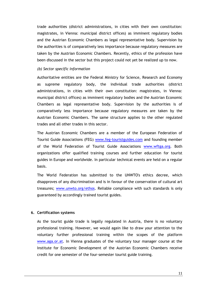trade authorities (district administrations, in cities with their own constitution: magistrates, in Vienna: municipal district offices) as imminent regulatory bodies and the Austrian Economic Chambers as legal representative body. Supervision by the authorities is of comparatively less importance because regulatory measures are taken by the Austrian Economic Chambers. Recently, ethics of the profession have been discussed in the sector but this project could not yet be realized up to now.

#### *(b) Sector specific information*

Authoritative entities are the Federal Ministry for Science, Research and Economy as supreme regulatory body, the individual trade authorities (district administrations, in cities with their own constitution: magistrates, in Vienna: municipal district offices) as imminent regulatory bodies and the Austrian Economic Chambers as legal representative body. Supervision by the authorities is of comparatively less importance because regulatory measures are taken by the Austrian Economic Chambers. The same structure applies to the other regulated trades and all other trades in this sector.

The Austrian Economic Chambers are a member of the European Federation of Tourist Guide Associations (FEG) [www.feg-touristguides.com](http://www.feg-touristguides.com/) and founding member of the World Federation of Tourist Guide Associations [www.wftga.org.](http://www.wftga.org/) Both organizations offer qualified training courses and further education for tourist guides in Europe and worldwide. In particular technical events are held on a regular basis.

The World Federation has submitted to the UNWTO's ethics decree, which disapproves of any discrimination and is in favour of the conservation of cultural art treasures; [www.unwto.org/ethos.](http://www.unwto.org/ethos) Reliable compliance with such standards is only guaranteed by accordingly trained tourist guides.

#### **6. Certification systems**

As the tourist guide trade is legally regulated in Austria, there is no voluntary professional training. However, we would again like to draw your attention to the voluntary further professional training within the scopes of the platform [www.aga.or.at.](http://www.aga.or.at/) In Vienna graduates of the voluntary tour manager course at the Institute for Economic Development of the Austrian Economic Chambers receive credit for one semester of the four-semester tourist guide training.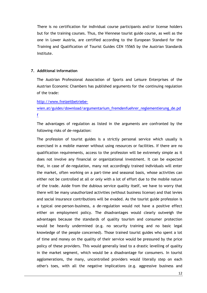There is no certification for individual course participants and/or license holders but for the training courses. Thus, the Viennese tourist guide course, as well as the one in Lower Austria, are certified according to the European Standard for the Training and Qualification of Tourist Guides CEN 15565 by the Austrian Standards Institute.

#### **7. Additional information**

The Austrian Professional Association of Sports and Leisure Enterprises of the Austrian Economic Chambers has published arguments for the continuing regulation of the trade:

#### [http://www.freizeitbetriebe-](http://www.freizeitbetriebe-wien.at/guides/download/argumentarium_fremdenfuehrer_reglementierung_de.pdf)

### [wien.at/guides/download/argumentarium\\_fremdenfuehrer\\_reglementierung\\_de.pd](http://www.freizeitbetriebe-wien.at/guides/download/argumentarium_fremdenfuehrer_reglementierung_de.pdf) [f](http://www.freizeitbetriebe-wien.at/guides/download/argumentarium_fremdenfuehrer_reglementierung_de.pdf)

The advantages of regulation as listed in the arguments are confronted by the following risks of de-regulation:

The profession of tourist guides is a strictly personal service which usually is exercised in a mobile manner without using resources or facilities. If there are no qualification requirements, access to the profession will be extremely simple as it does not involve any financial or organizational investment. It can be expected that, in case of de-regulation, many not accordingly trained individuals will enter the market, often working on a part-time and seasonal basis, whose activities can either not be controlled at all or only with a lot of effort due to the mobile nature of the trade. Aside from the dubious service quality itself, we have to worry that there will be many unauthorized activities (without business license) and that levies and social insurance contributions will be evaded. As the tourist guide profession is a typical one-person-business, a de-regulation would not have a positive effect either on employment policy. The disadvantages would clearly outweigh the advantages because the standards of quality tourism and consumer protection would be heavily undermined (e.g. no security training and no basic legal knowledge of the people concerned). Those trained tourist guides who spent a lot of time and money on the quality of their service would be pressured by the price policy of these providers. This would generally lead to a drastic levelling of quality in the market segment, which would be a disadvantage for consumers. In tourist agglomerations, the many, uncontrolled providers would literally step on each other's toes, with all the negative implications (e.g. aggressive business and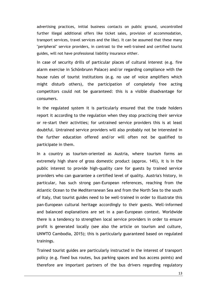advertising practices, initial business contacts on public ground, uncontrolled further illegal additional offers like ticket sales, provision of accommodation, transport services, travel services and the like). It can be assumed that these many "peripheral" service providers, in contrast to the well-trained and certified tourist guides, will not have professional liability insurance either.

In case of security drills of particular places of cultural interest (e.g. fire alarm exercise in Schönbrunn Palace) and/or regarding compliance with the house rules of tourist institutions (e.g. no use of voice amplifiers which might disturb others), the participation of completely free acting competitors could not be guaranteed: this is a visible disadvantage for consumers.

In the regulated system it is particularly ensured that the trade holders report it according to the regulation when they stop practicing their service or re-start their activities; for untrained service providers this is at least doubtful. Untrained service providers will also probably not be interested in the further education offered and/or will often not be qualified to participate in them.

In a country as tourism-oriented as Austria, where tourism forms an extremely high share of gross domestic product (approx. 14%), it is in the public interest to provide high-quality care for guests by trained service providers who can guarantee a certified level of quality. Austria's history, in particular, has such strong pan-European references, reaching from the Atlantic Ocean to the Mediterranean Sea and from the North Sea to the south of Italy, that tourist guides need to be well-trained in order to illustrate this pan-European cultural heritage accordingly to their guests. Well-informed and balanced explanations are set in a pan-European context. Worldwide there is a tendency to strengthen local service providers in order to ensure profit is generated locally (see also the article on tourism and culture, UNWTO Cambodia, 2015); this is particularly guaranteed based on regulated trainings.

Trained tourist guides are particularly instructed in the interest of transport policy (e.g. fixed bus routes, bus parking spaces and bus access points) and therefore are important partners of the bus drivers regarding regulatory